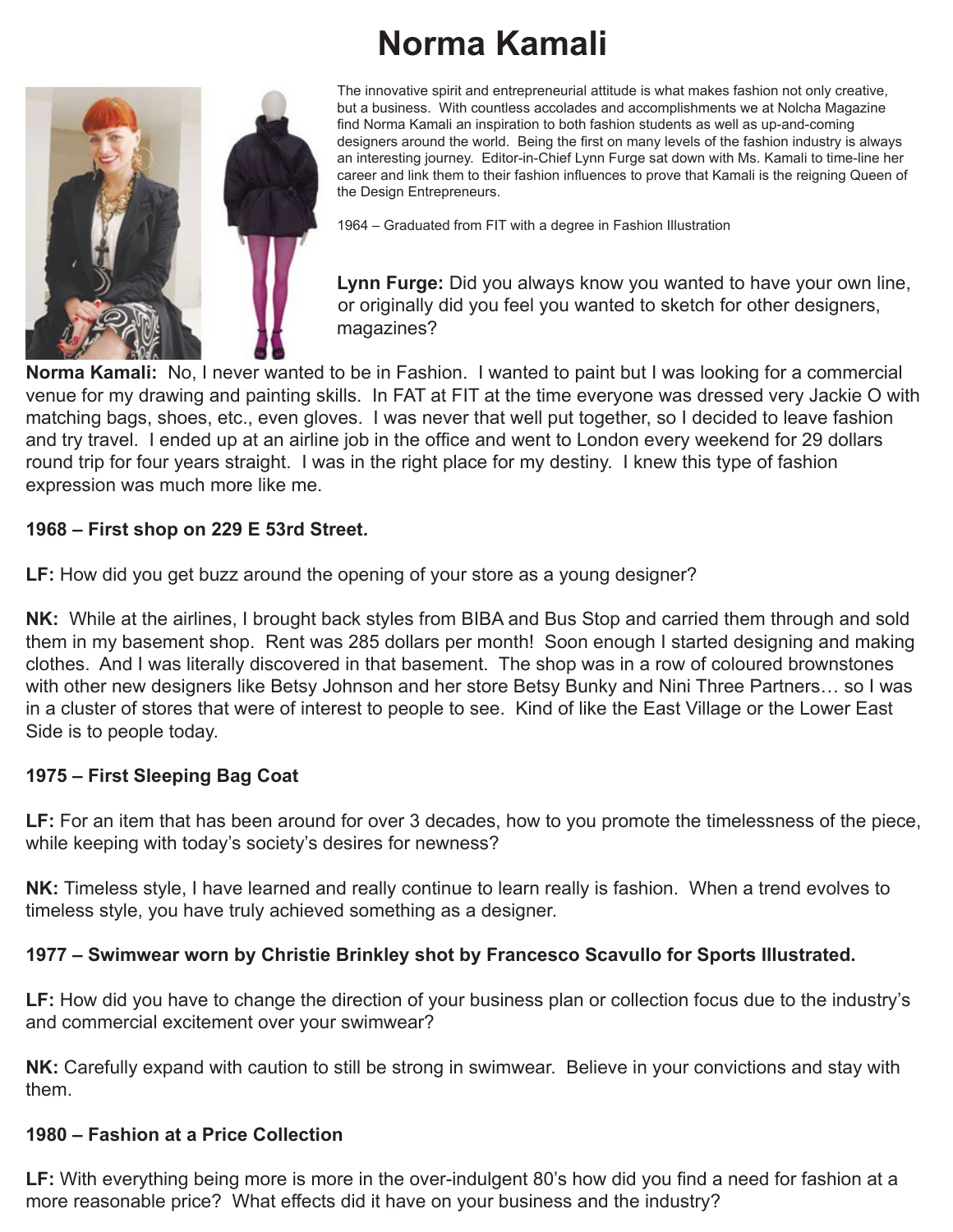# **Norma Kamali**



The innovative spirit and entrepreneurial attitude is what makes fashion not only creative, but a business. With countless accolades and accomplishments we at Nolcha Magazine find Norma Kamali an inspiration to both fashion students as well as up-and-coming designers around the world. Being the first on many levels of the fashion industry is always an interesting journey. Editor-in-Chief Lynn Furge sat down with Ms. Kamali to time-line her career and link them to their fashion influences to prove that Kamali is the reigning Queen of the Design Entrepreneurs.

1964 – Graduated from FIT with a degree in Fashion Illustration

 **Lynn Furge:** Did you always know you wanted to have your own line, or originally did you feel you wanted to sketch for other designers, magazines?

**Norma Kamali:** No, I never wanted to be in Fashion. I wanted to paint but I was looking for a commercial venue for my drawing and painting skills. In FAT at FIT at the time everyone was dressed very Jackie O with matching bags, shoes, etc., even gloves. I was never that well put together, so I decided to leave fashion and try travel. I ended up at an airline job in the office and went to London every weekend for 29 dollars round trip for four years straight. I was in the right place for my destiny. I knew this type of fashion expression was much more like me.

## **1968 – First shop on 229 E 53rd Street.**

**LF:** How did you get buzz around the opening of your store as a young designer?

**NK:** While at the airlines, I brought back styles from BIBA and Bus Stop and carried them through and sold them in my basement shop. Rent was 285 dollars per month! Soon enough I started designing and making clothes. And I was literally discovered in that basement. The shop was in a row of coloured brownstones with other new designers like Betsy Johnson and her store Betsy Bunky and Nini Three Partners… so I was in a cluster of stores that were of interest to people to see. Kind of like the East Village or the Lower East Side is to people today.

## **1975 – First Sleeping Bag Coat**

**LF:** For an item that has been around for over 3 decades, how to you promote the timelessness of the piece, while keeping with today's society's desires for newness?

**NK:** Timeless style, I have learned and really continue to learn really is fashion. When a trend evolves to timeless style, you have truly achieved something as a designer.

## **1977 – Swimwear worn by Christie Brinkley shot by Francesco Scavullo for Sports Illustrated.**

**LF:** How did you have to change the direction of your business plan or collection focus due to the industry's and commercial excitement over your swimwear?

**NK:** Carefully expand with caution to still be strong in swimwear. Believe in your convictions and stay with them.

#### **1980 – Fashion at a Price Collection**

**LF:** With everything being more is more in the over-indulgent 80's how did you find a need for fashion at a more reasonable price? What effects did it have on your business and the industry?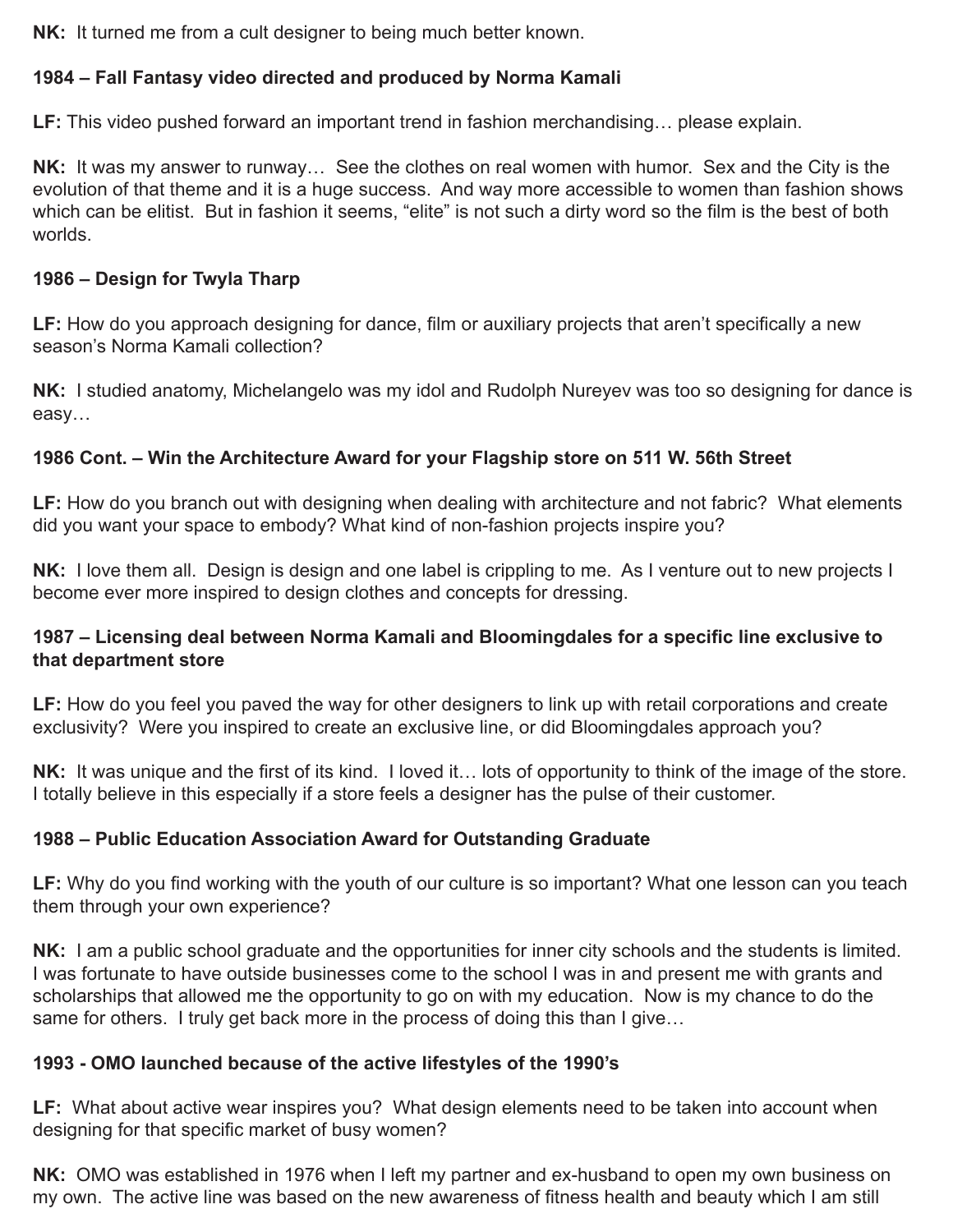**NK:** It turned me from a cult designer to being much better known.

## **1984 – Fall Fantasy video directed and produced by Norma Kamali**

**LF:** This video pushed forward an important trend in fashion merchandising… please explain.

**NK:** It was my answer to runway… See the clothes on real women with humor. Sex and the City is the evolution of that theme and it is a huge success. And way more accessible to women than fashion shows which can be elitist. But in fashion it seems, "elite" is not such a dirty word so the film is the best of both worlds.

#### **1986 – Design for Twyla Tharp**

**LF:** How do you approach designing for dance, film or auxiliary projects that aren't specifically a new season's Norma Kamali collection?

**NK:** I studied anatomy, Michelangelo was my idol and Rudolph Nureyev was too so designing for dance is easy…

## **1986 Cont. – Win the Architecture Award for your Flagship store on 511 W. 56th Street**

**LF:** How do you branch out with designing when dealing with architecture and not fabric? What elements did you want your space to embody? What kind of non-fashion projects inspire you?

**NK:** I love them all. Design is design and one label is crippling to me. As I venture out to new projects I become ever more inspired to design clothes and concepts for dressing.

#### **1987 – Licensing deal between Norma Kamali and Bloomingdales for a specific line exclusive to that department store**

**LF:** How do you feel you paved the way for other designers to link up with retail corporations and create exclusivity? Were you inspired to create an exclusive line, or did Bloomingdales approach you?

**NK:** It was unique and the first of its kind. I loved it… lots of opportunity to think of the image of the store. I totally believe in this especially if a store feels a designer has the pulse of their customer.

## **1988 – Public Education Association Award for Outstanding Graduate**

**LF:** Why do you find working with the youth of our culture is so important? What one lesson can you teach them through your own experience?

**NK:** I am a public school graduate and the opportunities for inner city schools and the students is limited. I was fortunate to have outside businesses come to the school I was in and present me with grants and scholarships that allowed me the opportunity to go on with my education. Now is my chance to do the same for others. I truly get back more in the process of doing this than I give...

## **1993 - OMO launched because of the active lifestyles of the 1990's**

**LF:** What about active wear inspires you? What design elements need to be taken into account when designing for that specific market of busy women?

**NK:** OMO was established in 1976 when I left my partner and ex-husband to open my own business on my own. The active line was based on the new awareness of fitness health and beauty which I am still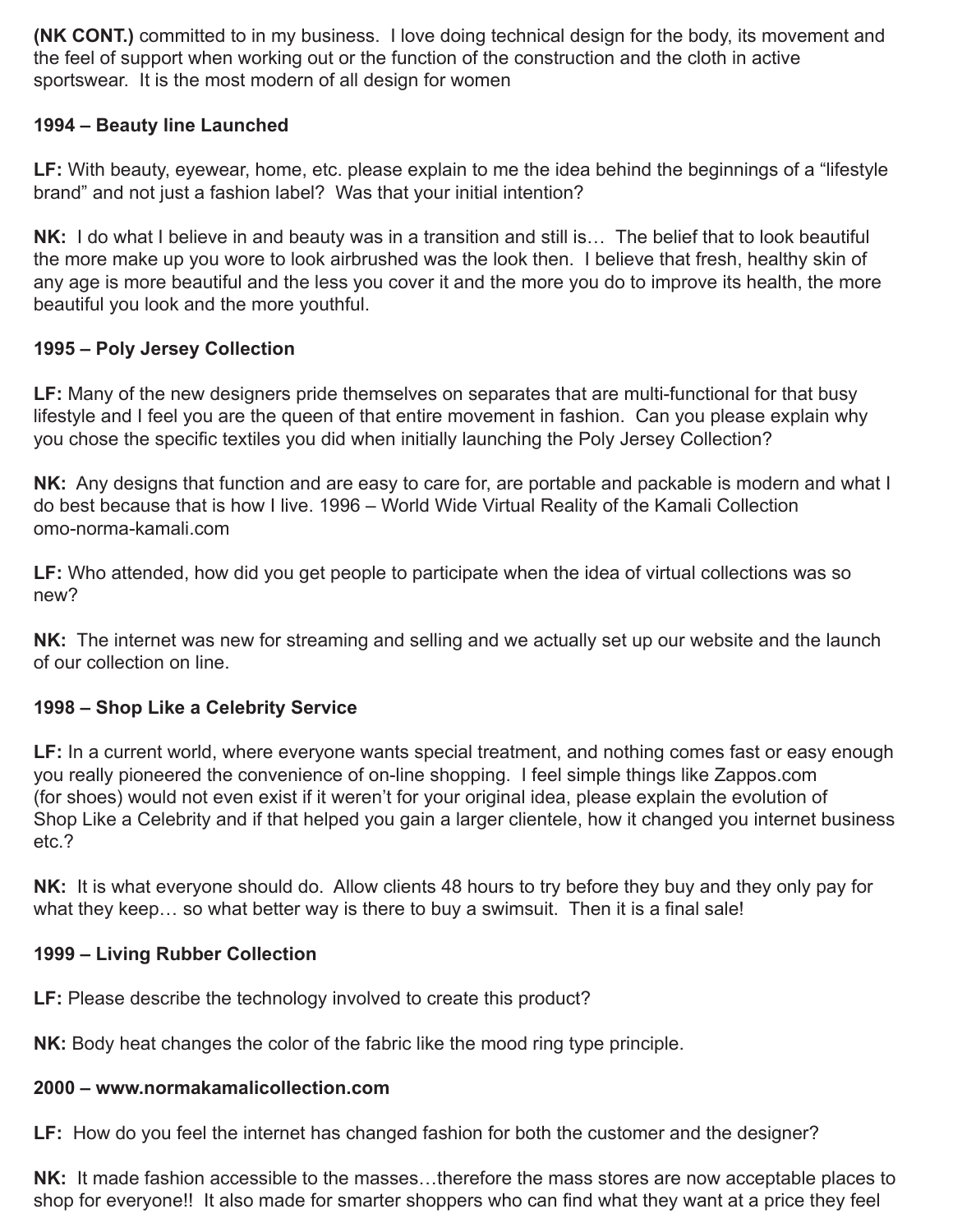**(NK CONT.)** committed to in my business. I love doing technical design for the body, its movement and the feel of support when working out or the function of the construction and the cloth in active sportswear. It is the most modern of all design for women

## **1994 – Beauty line Launched**

**LF:** With beauty, eyewear, home, etc. please explain to me the idea behind the beginnings of a "lifestyle brand" and not just a fashion label? Was that your initial intention?

**NK:** I do what I believe in and beauty was in a transition and still is… The belief that to look beautiful the more make up you wore to look airbrushed was the look then. I believe that fresh, healthy skin of any age is more beautiful and the less you cover it and the more you do to improve its health, the more beautiful you look and the more youthful.

# **1995 – Poly Jersey Collection**

**LF:** Many of the new designers pride themselves on separates that are multi-functional for that busy lifestyle and I feel you are the queen of that entire movement in fashion. Can you please explain why you chose the specific textiles you did when initially launching the Poly Jersey Collection?

**NK:** Any designs that function and are easy to care for, are portable and packable is modern and what I do best because that is how I live. 1996 – World Wide Virtual Reality of the Kamali Collection omo-norma-kamali.com

**LF:** Who attended, how did you get people to participate when the idea of virtual collections was so new?

**NK:** The internet was new for streaming and selling and we actually set up our website and the launch of our collection on line.

## **1998 – Shop Like a Celebrity Service**

LF: In a current world, where everyone wants special treatment, and nothing comes fast or easy enough you really pioneered the convenience of on-line shopping. I feel simple things like Zappos.com (for shoes) would not even exist if it weren't for your original idea, please explain the evolution of Shop Like a Celebrity and if that helped you gain a larger clientele, how it changed you internet business etc.?

**NK:** It is what everyone should do. Allow clients 48 hours to try before they buy and they only pay for what they keep... so what better way is there to buy a swimsuit. Then it is a final sale!

## **1999 – Living Rubber Collection**

LF: Please describe the technology involved to create this product?

**NK:** Body heat changes the color of the fabric like the mood ring type principle.

#### **2000 – www.normakamalicollection.com**

**LF:** How do you feel the internet has changed fashion for both the customer and the designer?

**NK:** It made fashion accessible to the masses…therefore the mass stores are now acceptable places to shop for everyone!! It also made for smarter shoppers who can find what they want at a price they feel